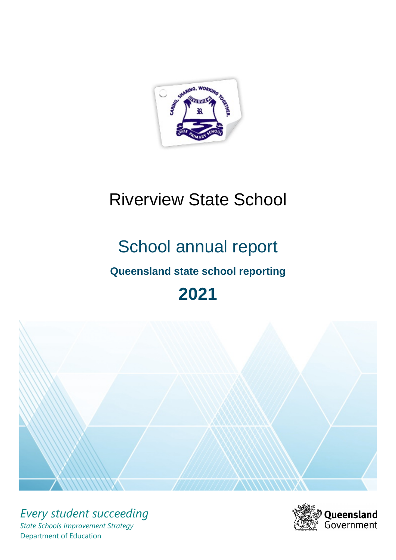

## Riverview State School

# School annual report

## **Queensland state school reporting**

## **2021**



*Every student succeeding State Schools Improvement Strategy* Department of Education

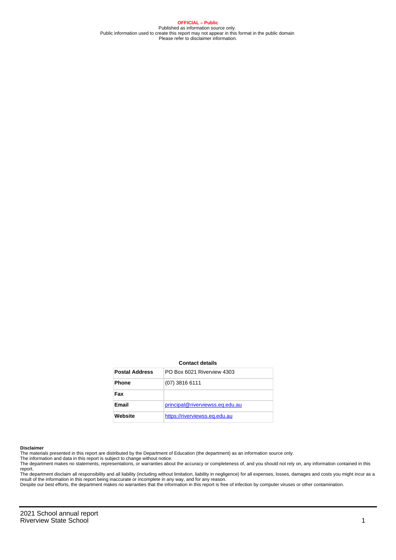**OFFICIAL – Public** Published as information source only. Public information used to create this report may not appear in this format in the public domain Please refer to disclaimer information.

#### **Contact details**

| <b>Postal Address</b> | PO Box 6021 Riverview 4303      |
|-----------------------|---------------------------------|
| <b>Phone</b>          | $(07)$ 3816 6111                |
| Fax                   |                                 |
| <b>Email</b>          | principal@riverviewss.eq.edu.au |
| Website               | https://riverviewss.eq.edu.au   |

#### **Disclaimer**

The materials presented in this report are distributed by the Department of Education (the department) as an information source only.

The information and data in this report is subject to change without notice.<br>The department makes no statements, representations, or warranties about the accuracy or completeness of, and you should not rely on, any informa report.

The department disclaim all responsibility and all liability (including without limitation, liability in negligence) for all expenses, losses, damages and costs you might incur as a result of the information in this report being inaccurate or incomplete in any way, and for any reason. Despite our best efforts, the department makes no warranties that the information in this report is free of infection by computer viruses or other contamination.

2021 School annual report Riverview State School 1 and 2008 1 and 2008 1 and 2008 1 and 2008 1 and 2008 1 and 2008 1 and 2008 1 and 2008 1 and 2008 1 and 2008 1 and 2008 1 and 2008 1 and 2008 1 and 2008 1 and 2008 1 and 2008 1 and 2008 1 and 2008 1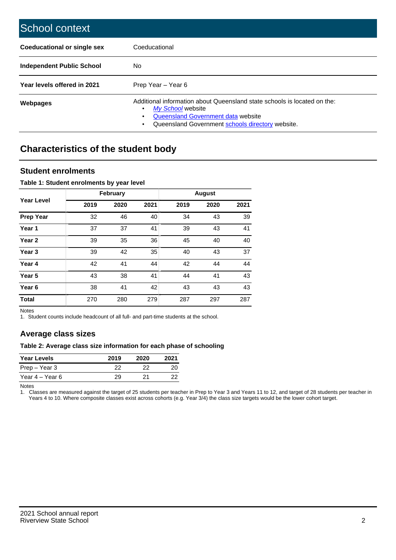| School context                   |                                                                                                                                                                                              |
|----------------------------------|----------------------------------------------------------------------------------------------------------------------------------------------------------------------------------------------|
| Coeducational or single sex      | Coeducational                                                                                                                                                                                |
| <b>Independent Public School</b> | No.                                                                                                                                                                                          |
| Year levels offered in 2021      | Prep Year - Year 6                                                                                                                                                                           |
| Webpages                         | Additional information about Queensland state schools is located on the:<br>My School website<br>Queensland Government data website<br>Queensland Government schools directory website.<br>٠ |

## **Characteristics of the student body**

### **Student enrolments**

#### **Table 1: Student enrolments by year level**

|                   |      | <b>February</b> |      |      | <b>August</b> |      |
|-------------------|------|-----------------|------|------|---------------|------|
| <b>Year Level</b> | 2019 | 2020            | 2021 | 2019 | 2020          | 2021 |
| <b>Prep Year</b>  | 32   | 46              | 40   | 34   | 43            | 39   |
| Year 1            | 37   | 37              | 41   | 39   | 43            | 41   |
| Year 2            | 39   | 35              | 36   | 45   | 40            | 40   |
| Year <sub>3</sub> | 39   | 42              | 35   | 40   | 43            | 37   |
| Year 4            | 42   | 41              | 44   | 42   | 44            | 44   |
| Year <sub>5</sub> | 43   | 38              | 41   | 44   | 41            | 43   |
| Year <sub>6</sub> | 38   | 41              | 42   | 43   | 43            | 43   |
| <b>Total</b>      | 270  | 280             | 279  | 287  | 297           | 287  |

Notes

1. Student counts include headcount of all full- and part-time students at the school.

## **Average class sizes**

#### **Table 2: Average class size information for each phase of schooling**

| <b>Year Levels</b> | 2019 | 2020 | 2021 |
|--------------------|------|------|------|
| Prep – Year 3      | つつ   | フフ   | 20   |
| Year 4 – Year 6    | 29   | 21   | フフ   |

Notes

1. Classes are measured against the target of 25 students per teacher in Prep to Year 3 and Years 11 to 12, and target of 28 students per teacher in Years 4 to 10. Where composite classes exist across cohorts (e.g. Year 3/4) the class size targets would be the lower cohort target.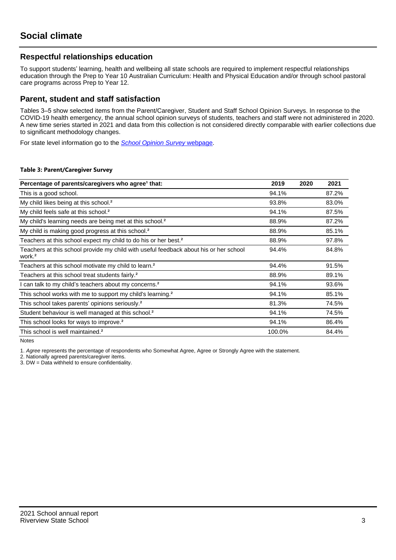## **Respectful relationships education**

To support students' learning, health and wellbeing all state schools are required to implement respectful relationships education through the Prep to Year 10 Australian Curriculum: Health and Physical Education and/or through school pastoral care programs across Prep to Year 12.

#### **Parent, student and staff satisfaction**

Tables 3–5 show selected items from the Parent/Caregiver, Student and Staff School Opinion Surveys. In response to the COVID-19 health emergency, the annual school opinion surveys of students, teachers and staff were not administered in 2020. A new time series started in 2021 and data from this collection is not considered directly comparable with earlier collections due to significant methodology changes.

For state level information go to the **[School Opinion Survey](https://qed.qld.gov.au/publications/reports/statistics/schooling/schools/schoolopinionsurvey) webpage**.

#### **Table 3: Parent/Caregiver Survey**

| Percentage of parents/caregivers who agree <sup>1</sup> that:                                               | 2019   | 2020 | 2021  |
|-------------------------------------------------------------------------------------------------------------|--------|------|-------|
| This is a good school.                                                                                      | 94.1%  |      | 87.2% |
| My child likes being at this school. <sup>2</sup>                                                           | 93.8%  |      | 83.0% |
| My child feels safe at this school. <sup>2</sup>                                                            | 94.1%  |      | 87.5% |
| My child's learning needs are being met at this school. <sup>2</sup>                                        | 88.9%  |      | 87.2% |
| My child is making good progress at this school. <sup>2</sup>                                               | 88.9%  |      | 85.1% |
| Teachers at this school expect my child to do his or her best. <sup>2</sup>                                 | 88.9%  |      | 97.8% |
| Teachers at this school provide my child with useful feedback about his or her school<br>work. <sup>2</sup> | 94.4%  |      | 84.8% |
| Teachers at this school motivate my child to learn. <sup>2</sup>                                            | 94.4%  |      | 91.5% |
| Teachers at this school treat students fairly. <sup>2</sup>                                                 | 88.9%  |      | 89.1% |
| can talk to my child's teachers about my concerns. <sup>2</sup>                                             | 94.1%  |      | 93.6% |
| This school works with me to support my child's learning. <sup>2</sup>                                      | 94.1%  |      | 85.1% |
| This school takes parents' opinions seriously. <sup>2</sup>                                                 | 81.3%  |      | 74.5% |
| Student behaviour is well managed at this school. <sup>2</sup>                                              | 94.1%  |      | 74.5% |
| This school looks for ways to improve. <sup>2</sup>                                                         | 94.1%  |      | 86.4% |
| This school is well maintained. <sup>2</sup>                                                                | 100.0% |      | 84.4% |

Notes

1. Agree represents the percentage of respondents who Somewhat Agree, Agree or Strongly Agree with the statement.

2. Nationally agreed parents/caregiver items.

3. DW = Data withheld to ensure confidentiality.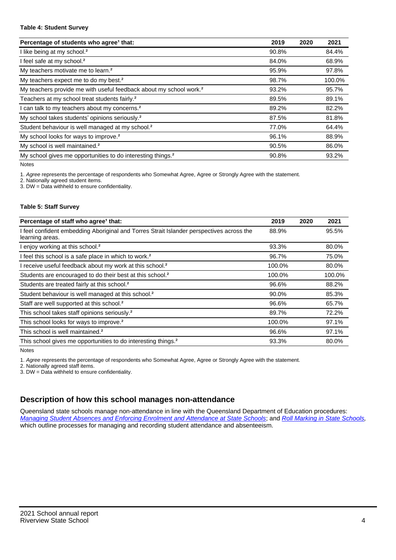#### **Table 4: Student Survey**

| Percentage of students who agree <sup>1</sup> that:                            | 2019  | 2020 | 2021   |
|--------------------------------------------------------------------------------|-------|------|--------|
| I like being at my school. <sup>2</sup>                                        | 90.8% |      | 84.4%  |
| I feel safe at my school. <sup>2</sup>                                         | 84.0% |      | 68.9%  |
| My teachers motivate me to learn. <sup>2</sup>                                 | 95.9% |      | 97.8%  |
| My teachers expect me to do my best. <sup>2</sup>                              | 98.7% |      | 100.0% |
| My teachers provide me with useful feedback about my school work. <sup>2</sup> | 93.2% |      | 95.7%  |
| Teachers at my school treat students fairly. <sup>2</sup>                      | 89.5% |      | 89.1%  |
| I can talk to my teachers about my concerns. <sup>2</sup>                      | 89.2% |      | 82.2%  |
| My school takes students' opinions seriously. <sup>2</sup>                     | 87.5% |      | 81.8%  |
| Student behaviour is well managed at my school. <sup>2</sup>                   | 77.0% |      | 64.4%  |
| My school looks for ways to improve. <sup>2</sup>                              | 96.1% |      | 88.9%  |
| My school is well maintained. <sup>2</sup>                                     | 90.5% |      | 86.0%  |
| My school gives me opportunities to do interesting things. <sup>2</sup>        | 90.8% |      | 93.2%  |

Notes

1. Agree represents the percentage of respondents who Somewhat Agree, Agree or Strongly Agree with the statement.

2. Nationally agreed student items.

3. DW = Data withheld to ensure confidentiality.

#### **Table 5: Staff Survey**

| Percentage of staff who agree <sup>1</sup> that:                                                            | 2019   | 2020 | 2021   |
|-------------------------------------------------------------------------------------------------------------|--------|------|--------|
| I feel confident embedding Aboriginal and Torres Strait Islander perspectives across the<br>learning areas. | 88.9%  |      | 95.5%  |
| I enjoy working at this school. <sup>2</sup>                                                                | 93.3%  |      | 80.0%  |
| I feel this school is a safe place in which to work. <sup>2</sup>                                           | 96.7%  |      | 75.0%  |
| I receive useful feedback about my work at this school. <sup>2</sup>                                        | 100.0% |      | 80.0%  |
| Students are encouraged to do their best at this school. <sup>2</sup>                                       | 100.0% |      | 100.0% |
| Students are treated fairly at this school. <sup>2</sup>                                                    | 96.6%  |      | 88.2%  |
| Student behaviour is well managed at this school. <sup>2</sup>                                              | 90.0%  |      | 85.3%  |
| Staff are well supported at this school. <sup>2</sup>                                                       | 96.6%  |      | 65.7%  |
| This school takes staff opinions seriously. <sup>2</sup>                                                    | 89.7%  |      | 72.2%  |
| This school looks for ways to improve. <sup>2</sup>                                                         | 100.0% |      | 97.1%  |
| This school is well maintained. <sup>2</sup>                                                                | 96.6%  |      | 97.1%  |
| This school gives me opportunities to do interesting things. <sup>2</sup>                                   | 93.3%  |      | 80.0%  |

Notes

1. Agree represents the percentage of respondents who Somewhat Agree, Agree or Strongly Agree with the statement.

2. Nationally agreed staff items.

3. DW = Data withheld to ensure confidentiality.

## **Description of how this school manages non-attendance**

Queensland state schools manage non-attendance in line with the Queensland Department of Education procedures: [Managing Student Absences and Enforcing Enrolment and Attendance at State Schools](https://ppr.qed.qld.gov.au/pp/managing-student-absences-and-enforcing-enrolment-and-attendance-at-state-schools-procedure); and [Roll Marking in State Schools,](https://ppr.qed.qld.gov.au/pp/roll-marking-in-state-schools-procedure) which outline processes for managing and recording student attendance and absenteeism.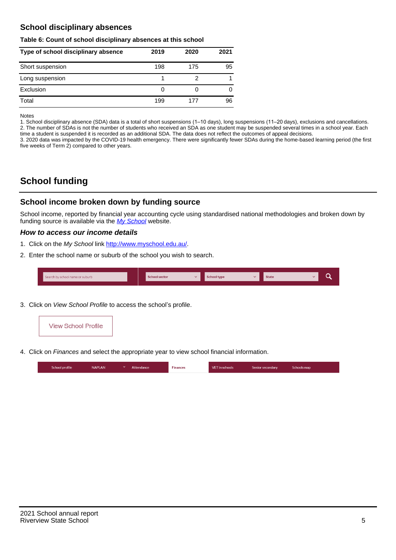## **School disciplinary absences**

#### **Table 6: Count of school disciplinary absences at this school**

| Type of school disciplinary absence | 2019 | 2020 | 2021 |
|-------------------------------------|------|------|------|
| Short suspension                    | 198  | 175  | 95   |
| Long suspension                     |      |      |      |
| Exclusion                           | 0    |      | 0    |
| Total                               | 199  | 177  | 96   |

Notes

1. School disciplinary absence (SDA) data is a total of short suspensions (1–10 days), long suspensions (11–20 days), exclusions and cancellations. 2. The number of SDAs is not the number of students who received an SDA as one student may be suspended several times in a school year. Each time a student is suspended it is recorded as an additional SDA. The data does not reflect the outcomes of appeal decisions.

3. 2020 data was impacted by the COVID-19 health emergency. There were significantly fewer SDAs during the home-based learning period (the first five weeks of Term 2) compared to other years.

## **School funding**

## **School income broken down by funding source**

School income, reported by financial year accounting cycle using standardised national methodologies and broken down by funding source is available via the  $My$  School website.

#### **How to access our income details**

- 1. Click on the My School link <http://www.myschool.edu.au/>.
- 2. Enter the school name or suburb of the school you wish to search.

|  | Search by school name or suburb |  | <b>School sector</b> |  | $\sim$ and $\sim$ represents the set of $\sim$ | <b>State</b> |  |  |  |
|--|---------------------------------|--|----------------------|--|------------------------------------------------|--------------|--|--|--|
|--|---------------------------------|--|----------------------|--|------------------------------------------------|--------------|--|--|--|

3. Click on View School Profile to access the school's profile.



4. Click on Finances and select the appropriate year to view school financial information.

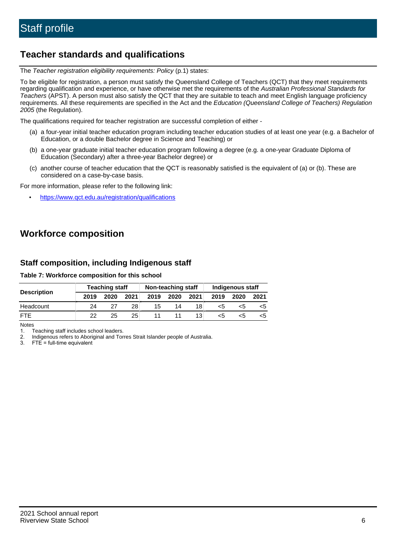## **Teacher standards and qualifications**

The Teacher registration eligibility requirements: Policy (p.1) states:

To be eligible for registration, a person must satisfy the Queensland College of Teachers (QCT) that they meet requirements regarding qualification and experience, or have otherwise met the requirements of the Australian Professional Standards for Teachers (APST). A person must also satisfy the QCT that they are suitable to teach and meet English language proficiency requirements. All these requirements are specified in the Act and the Education (Queensland College of Teachers) Regulation 2005 (the Regulation).

The qualifications required for teacher registration are successful completion of either -

- (a) a four-year initial teacher education program including teacher education studies of at least one year (e.g. a Bachelor of Education, or a double Bachelor degree in Science and Teaching) or
- (b) a one-year graduate initial teacher education program following a degree (e.g. a one-year Graduate Diploma of Education (Secondary) after a three-year Bachelor degree) or
- (c) another course of teacher education that the QCT is reasonably satisfied is the equivalent of (a) or (b). These are considered on a case-by-case basis.

For more information, please refer to the following link:

• <https://www.qct.edu.au/registration/qualifications>

## **Workforce composition**

## **Staff composition, including Indigenous staff**

**Table 7: Workforce composition for this school**

| Non-teaching staff<br><b>Teaching staff</b> |      |      |      |      | <b>Indigenous staff</b> |      |      |      |      |
|---------------------------------------------|------|------|------|------|-------------------------|------|------|------|------|
| <b>Description</b>                          | 2019 | 2020 | 2021 | 2019 | 2020                    | 2021 | 2019 | 2020 | 2021 |
| Headcount                                   | 24   |      | 28   | 15   | 14                      | 18   | <5   |      |      |
| <b>FTF</b>                                  | 22   | 25   | 25   |      |                         | 13   | <5   |      |      |

Notes

1. Teaching staff includes school leaders.

2. Indigenous refers to Aboriginal and Torres Strait Islander people of Australia.

3. FTE = full-time equivalent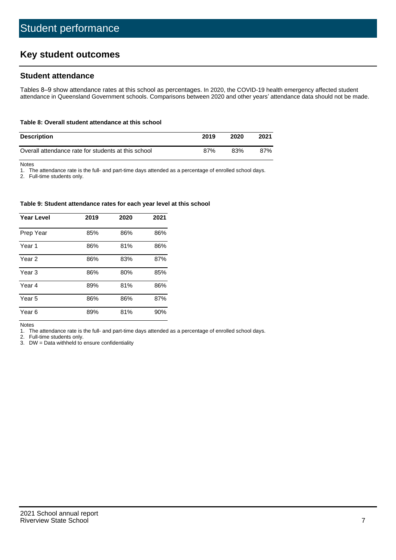## **Key student outcomes**

## **Student attendance**

Tables 8–9 show attendance rates at this school as percentages. In 2020, the COVID-19 health emergency affected student attendance in Queensland Government schools. Comparisons between 2020 and other years' attendance data should not be made.

#### **Table 8: Overall student attendance at this school**

| <b>Description</b>                                  | 2019 | 2020 | 2021 |
|-----------------------------------------------------|------|------|------|
| Overall attendance rate for students at this school | 87%  | 83%  | 87%  |

Notes

1. The attendance rate is the full- and part-time days attended as a percentage of enrolled school days.

2. Full-time students only.

#### **Table 9: Student attendance rates for each year level at this school**

| <b>Year Level</b> | 2019 | 2020 | 2021 |
|-------------------|------|------|------|
| Prep Year         | 85%  | 86%  | 86%  |
| Year <sub>1</sub> | 86%  | 81%  | 86%  |
| Year 2            | 86%  | 83%  | 87%  |
| Year 3            | 86%  | 80%  | 85%  |
| Year 4            | 89%  | 81%  | 86%  |
| Year 5            | 86%  | 86%  | 87%  |
| Year <sub>6</sub> | 89%  | 81%  | 90%  |

Notes

1. The attendance rate is the full- and part-time days attended as a percentage of enrolled school days.

2. Full-time students only.

3. DW = Data withheld to ensure confidentiality